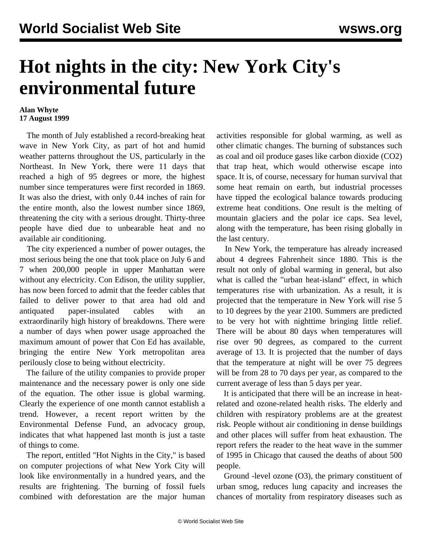## **Hot nights in the city: New York City's environmental future**

## **Alan Whyte 17 August 1999**

 The month of July established a record-breaking heat wave in New York City, as part of hot and humid weather patterns throughout the US, particularly in the Northeast. In New York, there were 11 days that reached a high of 95 degrees or more, the highest number since temperatures were first recorded in 1869. It was also the driest, with only 0.44 inches of rain for the entire month, also the lowest number since 1869, threatening the city with a serious drought. Thirty-three people have died due to unbearable heat and no available air conditioning.

 The city experienced a number of power outages, the most serious being the one that took place on July 6 and 7 when 200,000 people in upper Manhattan were without any electricity. Con Edison, the utility supplier, has now been forced to admit that the feeder cables that failed to deliver power to that area had old and antiquated paper-insulated cables with an extraordinarily high history of breakdowns. There were a number of days when power usage approached the maximum amount of power that Con Ed has available, bringing the entire New York metropolitan area perilously close to being without electricity.

 The failure of the utility companies to provide proper maintenance and the necessary power is only one side of the equation. The other issue is global warming. Clearly the experience of one month cannot establish a trend. However, a recent report written by the Environmental Defense Fund, an advocacy group, indicates that what happened last month is just a taste of things to come.

 The report, entitled "Hot Nights in the City," is based on computer projections of what New York City will look like environmentally in a hundred years, and the results are frightening. The burning of fossil fuels combined with deforestation are the major human activities responsible for global warming, as well as other climatic changes. The burning of substances such as coal and oil produce gases like carbon dioxide (CO2) that trap heat, which would otherwise escape into space. It is, of course, necessary for human survival that some heat remain on earth, but industrial processes have tipped the ecological balance towards producing extreme heat conditions. One result is the melting of mountain glaciers and the polar ice caps. Sea level, along with the temperature, has been rising globally in the last century.

 In New York, the temperature has already increased about 4 degrees Fahrenheit since 1880. This is the result not only of global warming in general, but also what is called the "urban heat-island" effect, in which temperatures rise with urbanization. As a result, it is projected that the temperature in New York will rise 5 to 10 degrees by the year 2100. Summers are predicted to be very hot with nighttime bringing little relief. There will be about 80 days when temperatures will rise over 90 degrees, as compared to the current average of 13. It is projected that the number of days that the temperature at night will be over 75 degrees will be from 28 to 70 days per year, as compared to the current average of less than 5 days per year.

 It is anticipated that there will be an increase in heatrelated and ozone-related health risks. The elderly and children with respiratory problems are at the greatest risk. People without air conditioning in dense buildings and other places will suffer from heat exhaustion. The report refers the reader to the heat wave in the summer of 1995 in Chicago that caused the deaths of about 500 people.

 Ground -level ozone (O3), the primary constituent of urban smog, reduces lung capacity and increases the chances of mortality from respiratory diseases such as